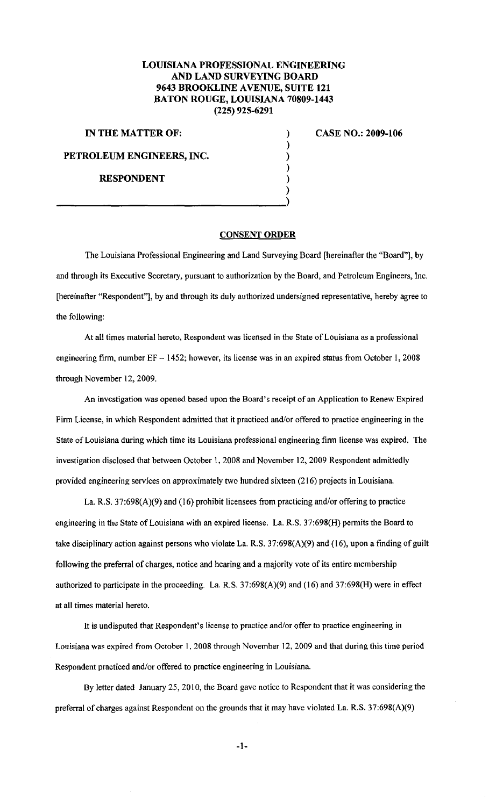## **LOUISIANA PROFESSIONAL ENGINEERING AND LAND SURVEYING BOARD 9643 BROOKLINE A VENUE, SUITE 121 BATON ROUGE, LOUISIANA 70809-1443 (225) 925-6291**

**IN THE MATTER OF:** 

**PETROLEUM ENGINEERS, INC.** 

**RESPONDENT** 

**CASE NO.: 2009-106** 

## **CONSENT ORDER**

) ) ) ) ) )

The Louisiana Professional Engineering and Land Surveying Board [hereinafter the "Board"], by and through its Executive Secretary, pursuant to authorization by the Board, and Petroleum Engineers, Inc. [hereinafter "Respondent"], by and through its duly authorized undersigned representative, hereby agree to the following:

At all times material hereto, Respondent was licensed in the State of Louisiana as a professional engineering firm, number EF - 1452; however, its license was in an expired status from October 1, 2008 through November 12, 2009.

An investigation was opened based upon the Board's receipt of an Application to Renew Expired Firm License, in which Respondent admitted that it practiced and/or offered to practice engineering in the State of Louisiana during which time its Louisiana professional engineering firm license was expired. The investigation disclosed that between October I, 2008 and November 12, 2009 Respondent admittedly provided engineering services on approximately two hundred sixteen (216) projects in Louisiana

La. R.S. 37:698(A)(9) and (16) prohibit licensees from practicing and/or offering to practice engineering in the State of Louisiana with an expired license. La. R.S. 37:698(H) permits the Board to take disciplinary action against persons who violate La. R.S. 37:698(A)(9) and (16), upon a finding of guilt following the preferral of charges, notice and hearing and a majority vote of its entire membership authorized to participate in the proceeding. La. R.S. 37:698(A)(9) and (16) and 37:698(H) were in effect at all times material hereto.

It is undisputed that Respondent's license to practice and/or offer to practice engineering in Louisiana was expired from October 1, 2008 through November 12, 2009 and that during this time period Respondent practiced and/or offered to practice engineering in Louisiana.

By letter dated January 25, 2010, the Board gave notice to Respondent that it was considering the preferral of charges against Respondent on the grounds that it may have violated La. R.S. 37:698(A)(9)

-I-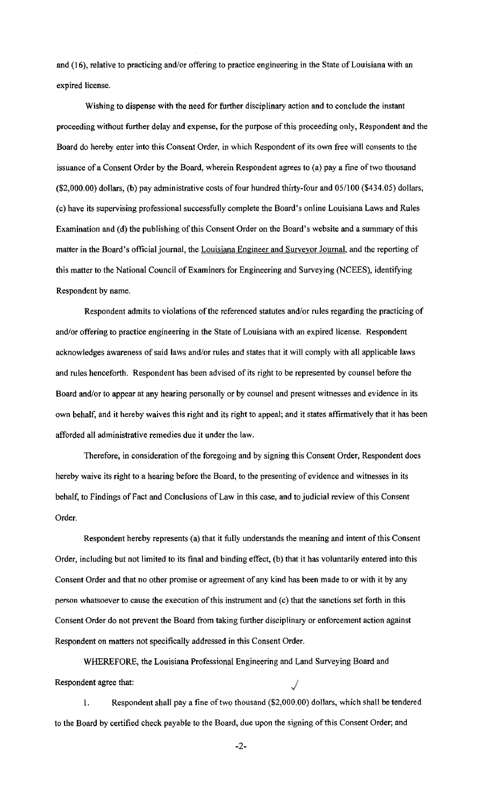and {16), relative to practicing and/or offering to practice engineering in the State of Louisiana with an expired license.

Wishing to dispense with the need for further disciplinary action and to conclude the instant proceeding without further delay and expense, for the purpose of this proceeding only, Respondent and the Board do hereby enter into this Consent Order, in which Respondent of its own free will consents to the issuance of a Consent Order by the Board, wherein Respondent agrees to (a) pay a fine of two thousand (\$2,000.00) dollars, (b) pay administrative costs of four hundred thirty-four and 05/100 (\$434.05) dollars, (c) have its supervising professional successfully complete the Board's online Louisiana Laws and Rules Examination and (d) the publishing of this Consent Order on the Board's website and a summary of this matter in the Board's official journal, the Louisiana Engineer and Surveyor Journal, and the reporting of this matter to the National Council of Examiners for Engineering and Surveying (NCEES), identifying Respondent by name.

Respondent admits to violations of the referenced statutes and/or rules regarding the practicing of and/or offering to practice engineering in the State of Louisiana with an expired license. Respondent acknowledges awareness of said laws and/or rules and states that it will comply with all applicable laws and rules henceforth. Respondent has been advised of its right to be represented by counsel before the Board and/or to appear at any hearing personally or by counsel and present witnesses and evidence in its own behalf, and it hereby waives this right and its right to appeal; and it states affirmatively that it has been afforded all administrative remedies due it under the law.

Therefore, in consideration of the foregoing and by signing this Consent Order, Respondent does hereby waive its right to a hearing before the Board, to the presenting of evidence and witnesses in its behalf, to Findings of Fact and Conclusions of Law in this case, and to judicial review of this Consent Order.

Respondent hereby represents (a) that it fully understands the meaning and intent of this Consent Order, including but not limited to its final and binding effect, (b) that it has voluntarily entered into this Consent Order and that no other promise or agreement of any kind has been made to or with it by any person whatsoever to cause the execution of this instrument and (c) that the sanctions set forth in this Consent Order do not prevent the Board from taking further disciplinary or enforcement action against Respondent on matters not specifically addressed in this Consent Order.

WHEREFORE, the Louisiana Professional Engineering and Land Surveying Board and Respondent agree that:

I. Respondent shall pay a fine of two thousand (\$2,000.00) dollars, which shall be tendered to the Board by certified check payable to the Board, due upon the signing of this Consent Order; and

-2-